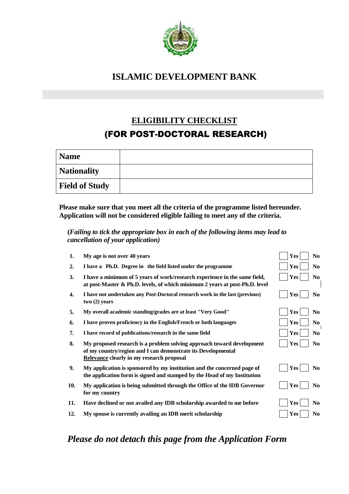

## **ISLAMIC DEVELOPMENT BANK**

# **ELIGIBILITY CHECKLIST** (FOR POST-DOCTORAL RESEARCH)

| <b>Name</b>           |  |
|-----------------------|--|
| <b>Nationality</b>    |  |
| <b>Field of Study</b> |  |

**Please make sure that you meet all the criteria of the programme listed hereunder. Application will not be considered eligible failing to meet any of the criteria.**

## **(***Failing to tick the appropriate box in each of the following items may lead to cancellation of your application)*

| 1.  | My age is not over 40 years                                                                                                                                                        | <b>Yes</b><br>N <sub>0</sub> |
|-----|------------------------------------------------------------------------------------------------------------------------------------------------------------------------------------|------------------------------|
| 2.  | I have a Ph.D. Degree in the field listed under the programme                                                                                                                      | Yes<br>N <sub>0</sub>        |
| 3.  | I have a minimum of 5 years of work/research experience in the same field,<br>at post-Master & Ph.D. levels, of which minimum 2 years at post-Ph.D. level                          | Yes<br>N <sub>0</sub>        |
| 4.  | I have not undertaken any Post-Doctoral research work in the last (previous)<br>two(2) years                                                                                       | Yes<br>N <sub>0</sub>        |
| 5.  | My overall academic standing/grades are at least "Very Good"                                                                                                                       | <b>Yes</b><br>N <sub>0</sub> |
| 6.  | I have proven proficiency in the English/French or both languages                                                                                                                  | <b>Yes</b><br>N <sub>0</sub> |
| 7.  | I have record of publications/research in the same field                                                                                                                           | Yes<br>N <sub>0</sub>        |
| 8.  | My proposed research is a problem solving approach toward development<br>of my country/region and I can demonstrate its Developmental<br>Relevance clearly in my research proposal | <b>Yes</b><br>N <sub>0</sub> |
| 9.  | My application is sponsored by my institution and the concerned page of<br>the application form is signed and stamped by the Head of my Institution                                | Yes<br>N <sub>0</sub>        |
| 10. | My application is being submitted through the Office of the IDB Governor<br>for my country                                                                                         | <b>Yes</b><br>N <sub>0</sub> |
| 11. | Have declined or not availed any IDB scholarship awarded to me before                                                                                                              | <b>Yes</b><br>N <sub>0</sub> |
| 12. | My spouse is currently availing an IDB merit scholarship                                                                                                                           | Yes<br>N <sub>0</sub>        |
|     |                                                                                                                                                                                    |                              |

## *Please do not detach this page from the Application Form*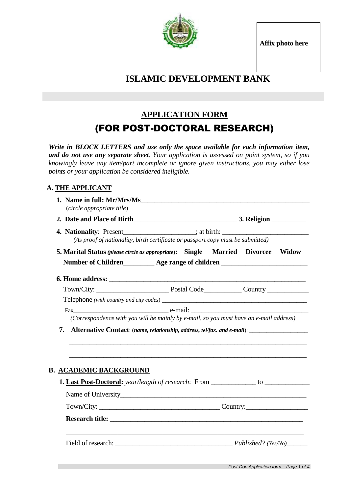**Affix photo here**



## **ISLAMIC DEVELOPMENT BANK**

## **APPLICATION FORM** (FOR POST-DOCTORAL RESEARCH)

*Write in BLOCK LETTERS and use only the space available for each information item, and do not use any separate sheet. Your application is assessed on point system, so if you knowingly leave any item/part incomplete or ignore given instructions, you may either lose points or your application be considered ineligible.*

## **A. THE APPLICANT**

| (circle appropriate title)                                                         |                                                                                                                                                                           |  |  |
|------------------------------------------------------------------------------------|---------------------------------------------------------------------------------------------------------------------------------------------------------------------------|--|--|
|                                                                                    |                                                                                                                                                                           |  |  |
| 4. Nationality: Present________________; at birth: _____________________________   | (As proof of nationality, birth certificate or passport copy must be submitted)                                                                                           |  |  |
| 5. Marital Status (please circle as appropriate): Single Married Divorcee Widow    |                                                                                                                                                                           |  |  |
| Number of Children<br><u>Age range of children</u><br><u>Age range of children</u> |                                                                                                                                                                           |  |  |
|                                                                                    |                                                                                                                                                                           |  |  |
|                                                                                    |                                                                                                                                                                           |  |  |
|                                                                                    |                                                                                                                                                                           |  |  |
|                                                                                    |                                                                                                                                                                           |  |  |
| Fax e-mail: e-mail:                                                                | (Correspondence with you will be mainly by e-mail, so you must have an e-mail address)<br><b>Alternative Contact:</b> (name, relationship, address, tel/fax. and e-mail): |  |  |
| 7.                                                                                 |                                                                                                                                                                           |  |  |
|                                                                                    |                                                                                                                                                                           |  |  |
|                                                                                    |                                                                                                                                                                           |  |  |
|                                                                                    | Town/City: Country: Country:                                                                                                                                              |  |  |
| <b>B. ACADEMIC BACKGROUND</b>                                                      |                                                                                                                                                                           |  |  |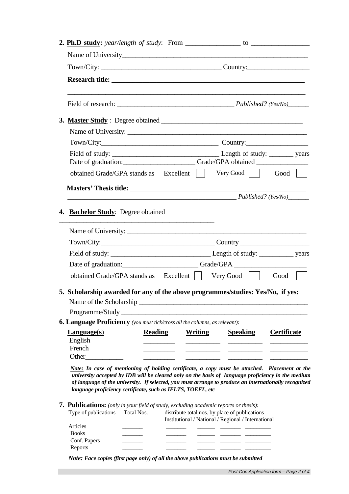| <b>2. Ph.D study:</b> year/length of study: From $\frac{\ }{\ }$                                                                                                                                                                                                                                                                                                            |                                                                                                       |
|-----------------------------------------------------------------------------------------------------------------------------------------------------------------------------------------------------------------------------------------------------------------------------------------------------------------------------------------------------------------------------|-------------------------------------------------------------------------------------------------------|
|                                                                                                                                                                                                                                                                                                                                                                             |                                                                                                       |
| Town/City: Country: Country:                                                                                                                                                                                                                                                                                                                                                |                                                                                                       |
|                                                                                                                                                                                                                                                                                                                                                                             |                                                                                                       |
|                                                                                                                                                                                                                                                                                                                                                                             |                                                                                                       |
|                                                                                                                                                                                                                                                                                                                                                                             |                                                                                                       |
|                                                                                                                                                                                                                                                                                                                                                                             |                                                                                                       |
|                                                                                                                                                                                                                                                                                                                                                                             |                                                                                                       |
| Date of graduation: Cambridge Crade/GPA obtained Cambridge Contains Crade/GPA obtained                                                                                                                                                                                                                                                                                      |                                                                                                       |
| obtained Grade/GPA stands as Excellent                                                                                                                                                                                                                                                                                                                                      | Very Good<br>Good                                                                                     |
|                                                                                                                                                                                                                                                                                                                                                                             |                                                                                                       |
|                                                                                                                                                                                                                                                                                                                                                                             | $Published?$ (Yes/No)                                                                                 |
| <u> 1989 - Johann Stein, syntysk politiker (* 1918)</u><br>Name of University:                                                                                                                                                                                                                                                                                              |                                                                                                       |
|                                                                                                                                                                                                                                                                                                                                                                             |                                                                                                       |
|                                                                                                                                                                                                                                                                                                                                                                             |                                                                                                       |
| Date of graduation: Grade/GPA Grade/GPA                                                                                                                                                                                                                                                                                                                                     |                                                                                                       |
| obtained Grade/GPA stands as Excellent     Very Good                                                                                                                                                                                                                                                                                                                        | Good                                                                                                  |
| 5. Scholarship awarded for any of the above programmes/studies: Yes/No, if yes:<br>Name of the Scholarship_                                                                                                                                                                                                                                                                 | <u> 2000 - Jan Barnett, mars et al. (b. 1989)</u>                                                     |
| Programme/Study_                                                                                                                                                                                                                                                                                                                                                            |                                                                                                       |
| <b>6. Language Proficiency</b> (you must tick/cross all the columns, as relevant):                                                                                                                                                                                                                                                                                          |                                                                                                       |
| <b>Reading</b><br><b>Language(s)</b><br><b>Writing</b><br>English<br>French<br>Other                                                                                                                                                                                                                                                                                        | <b>Speaking</b><br><b>Certificate</b>                                                                 |
| Note: In case of mentioning of holding certificate, a copy must be attached. Placement at the<br>university accepted by IDB will be cleared only on the basis of language proficiency in the medium<br>of language of the university. If selected, you must arrange to produce an internationally recognized<br>language proficiency certificate, such as IELTS, TOEFL, etc |                                                                                                       |
| <b>7. Publications:</b> (only in your field of study, excluding academic reports or thesis):<br>Type of publications<br>Total Nos.                                                                                                                                                                                                                                          | distribute total nos. by place of publications<br>Institutional / National / Regional / International |
| Articles                                                                                                                                                                                                                                                                                                                                                                    |                                                                                                       |

 Reports \_\_\_\_\_\_\_ \_\_\_\_\_\_\_ \_\_\_\_\_\_ \_\_\_\_\_\_\_ \_\_\_\_\_\_\_\_\_ *Note: Face copies (first page only) of all the above publications must be submitted*

П

 Books \_\_\_\_\_\_\_ \_\_\_\_\_\_\_ \_\_\_\_\_\_ \_\_\_\_\_\_\_ \_\_\_\_\_\_\_\_\_ Conf. Papers  $\qquad \qquad \qquad \qquad$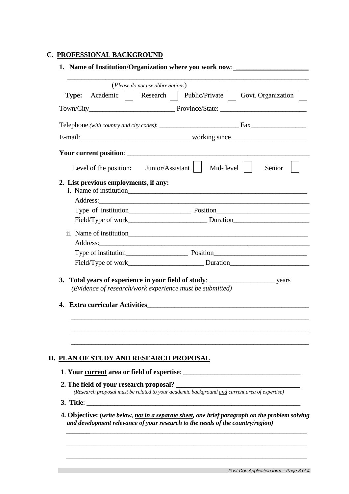### **C. PROFESSIONAL BACKGROUND**

|                                                                                          | (Please do not use abbreviations)                                                                                                 |
|------------------------------------------------------------------------------------------|-----------------------------------------------------------------------------------------------------------------------------------|
| Academic    <br><b>Type:</b>                                                             | Public/Private     Govt. Organization  <br>Research $\vert \vert$                                                                 |
|                                                                                          |                                                                                                                                   |
|                                                                                          |                                                                                                                                   |
|                                                                                          |                                                                                                                                   |
|                                                                                          |                                                                                                                                   |
| Level of the position:                                                                   | Junior/Assistant<br>Mid- level $\vert$<br>Senior                                                                                  |
| 2. List previous employments, if any:                                                    | Address:                                                                                                                          |
|                                                                                          |                                                                                                                                   |
|                                                                                          |                                                                                                                                   |
| Address:                                                                                 | <u> 1989 - Johann Harry Harry Harry Harry Harry Harry Harry Harry Harry Harry Harry Harry Harry Harry Harry Harry</u>             |
|                                                                                          |                                                                                                                                   |
|                                                                                          |                                                                                                                                   |
| 4.                                                                                       | (Evidence of research/work experience must be submitted)<br><b>Extra curricular Activities Extra CONSTANTING INCONSTRUCT 2012</b> |
|                                                                                          |                                                                                                                                   |
| <b>D. PLAN OF STUDY AND RESEARCH PROPOSAL</b><br>2. The field of your research proposal? | (Research proposal must be related to your academic background and current area of expertise)                                     |
|                                                                                          | 3. Title:<br>4. Objective: (write below, not in a separate sheet, one brief paragraph on the problem solving                      |

 $\overline{\phantom{a}}$  , and the contribution of the contribution of the contribution of the contribution of the contribution of the contribution of the contribution of the contribution of the contribution of the contribution of the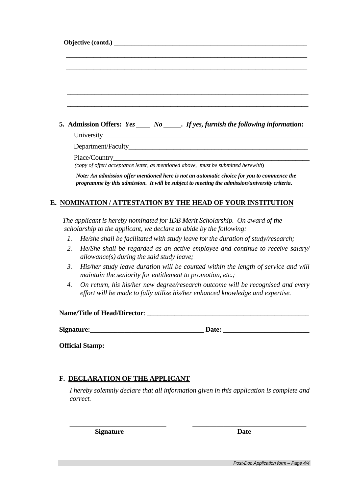|  | 5. Admission Offers: $Yes \_\_\_\_ No \_\_\_\_$ . If yes, furnish the following information: |  |  |
|--|----------------------------------------------------------------------------------------------|--|--|

University\_\_\_\_\_\_\_\_\_\_\_\_\_\_\_\_\_\_\_\_\_\_\_\_\_\_\_\_\_\_\_\_\_\_\_\_\_\_\_\_\_\_\_\_\_\_\_\_\_\_\_\_\_\_\_\_\_\_\_\_

Department/Faculty

Place/Country

 *(copy of offer/ acceptance letter, as mentioned above, must be submitted herewith***)**

 *Note: An admission offer mentioned here is not an automatic choice for you to commence the programme by this admission. It will be subject to meeting the admission/university criteria***.** 

## **E. NOMINATION / ATTESTATION BY THE HEAD OF YOUR INSTITUTION**

 *The applicant is hereby nominated for IDB Merit Scholarship. On award of the scholarship to the applicant, we declare to abide by the following:*

- *1. He/she shall be facilitated with study leave for the duration of study/research;*
- *2. He/She shall be regarded as an active employee and continue to receive salary/ allowance(s) during the said study leave;*
- *3. His/her study leave duration will be counted within the length of service and will maintain the seniority for entitlement to promotion, etc.;*
- *4. On return, his his/her new degree/research outcome will be recognised and every effort will be made to fully utilize his/her enhanced knowledge and expertise.*

**Name/Title of Head/Director:** 

**Signature:\_\_\_\_\_\_\_\_\_\_\_\_\_\_\_\_\_\_\_\_\_\_\_\_\_\_\_\_\_\_\_\_\_ Date: \_\_\_\_\_\_\_\_\_\_\_\_\_\_\_\_\_\_\_\_\_\_\_\_\_** 

**Official Stamp:** 

### **F. DECLARATION OF THE APPLICANT**

*I hereby solemnly declare that all information given in this application is complete and correct.* 

**\_\_\_\_\_\_\_\_\_\_\_\_\_\_\_\_\_\_\_\_\_\_\_\_\_\_\_\_ \_\_\_\_\_\_\_\_\_\_\_\_\_\_\_\_\_\_\_\_\_\_\_\_\_\_\_\_\_\_\_\_\_**

**Signature Date**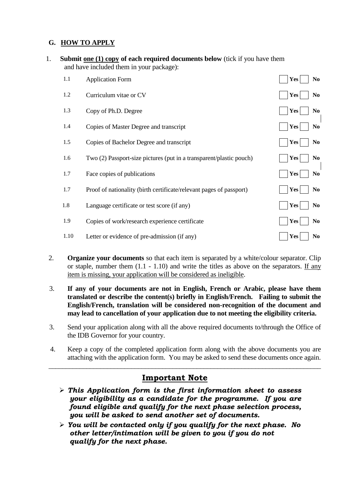## **G. HOW TO APPLY**

| 1. |      | Submit one (1) copy of each required documents below (tick if you have them<br>and have included them in your package): |                              |  |
|----|------|-------------------------------------------------------------------------------------------------------------------------|------------------------------|--|
|    | 1.1  | <b>Application Form</b>                                                                                                 | Yes<br>N <sub>0</sub>        |  |
|    | 1.2  | Curriculum vitae or CV                                                                                                  | Yes<br>N <sub>0</sub>        |  |
|    | 1.3  | Copy of Ph.D. Degree                                                                                                    | N <sub>0</sub><br>Yes        |  |
|    | 1.4  | Copies of Master Degree and transcript                                                                                  | Yes<br>N <sub>0</sub>        |  |
|    | 1.5  | Copies of Bachelor Degree and transcript                                                                                | Yes<br>N <sub>0</sub>        |  |
|    | 1.6  | Two (2) Passport-size pictures (put in a transparent/plastic pouch)                                                     | Yes<br>N <sub>0</sub>        |  |
|    | 1.7  | Face copies of publications                                                                                             | Yes<br>N <sub>0</sub>        |  |
|    | 1.7  | Proof of nationality (birth certificate/relevant pages of passport)                                                     | Yes<br>N <sub>0</sub>        |  |
|    | 1.8  | Language certificate or test score (if any)                                                                             | <b>Yes</b><br>N <sub>0</sub> |  |
|    | 1.9  | Copies of work/research experience certificate                                                                          | <b>Yes</b><br>N <sub>0</sub> |  |
|    | 1.10 | Letter or evidence of pre-admission (if any)                                                                            | N <sub>0</sub><br>Yes        |  |
|    |      |                                                                                                                         |                              |  |

- 2. **Organize your documents** so that each item is separated by a white/colour separator. Clip or staple, number them (1.1 - 1.10) and write the titles as above on the separators. If any item is missing, your application will be considered as ineligible.
- 3. **If any of your documents are not in English, French or Arabic, please have them translated or describe the content(s) briefly in English/French. Failing to submit the English/French, translation will be considered non-recognition of the document and may lead to cancellation of your application due to not meeting the eligibility criteria.**
- 3. Send your application along with all the above required documents to/through the Office of the IDB Governor for your country.
- 4. Keep a copy of the completed application form along with the above documents you are attaching with the application form. You may be asked to send these documents once again.

\_\_\_\_\_\_\_\_\_\_\_\_\_\_\_\_\_\_\_\_\_\_\_\_\_\_\_\_\_\_\_\_\_\_\_\_\_\_\_\_\_\_\_\_\_\_\_\_\_\_\_\_\_\_\_\_\_\_\_\_\_\_\_\_\_\_\_\_\_\_\_\_\_\_\_\_\_\_\_

## **Important Note**

- *This Application form is the first information sheet to assess your eligibility as a candidate for the programme. If you are found eligible and qualify for the next phase selection process, you will be asked to send another set of documents.*
- *You will be contacted only if you qualify for the next phase. No other letter/intimation will be given to you if you do not qualify for the next phase.*